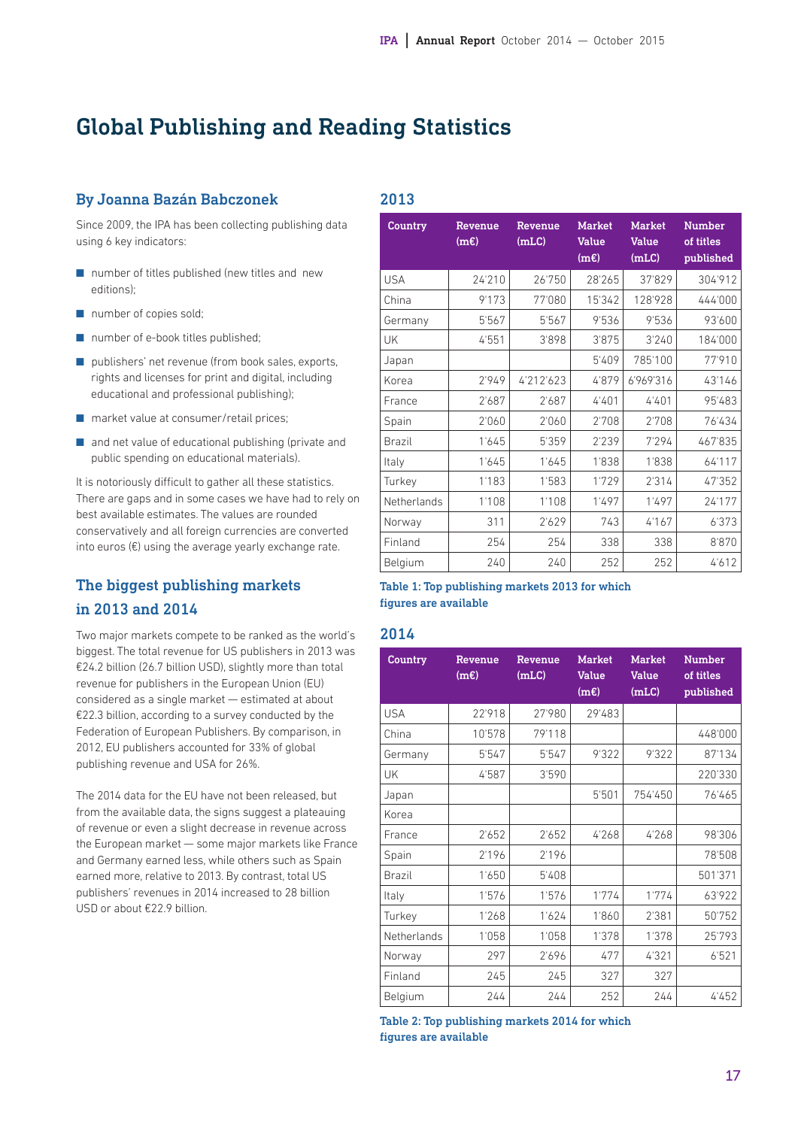# Global Publishing and Reading Statistics

### By Joanna Bazán Babczonek

Since 2009, the IPA has been collecting publishing data using 6 key indicators:

- number of titles published (new titles and new editions);
- number of copies sold;
- number of e-book titles published;
- publishers' net revenue (from book sales, exports, rights and licenses for print and digital, including educational and professional publishing);
- market value at consumer/retail prices;
- $\blacksquare$  and net value of educational publishing (private and public spending on educational materials).

It is notoriously difficult to gather all these statistics. There are gaps and in some cases we have had to rely on best available estimates. The values are rounded conservatively and all foreign currencies are converted into euros  $(\epsilon)$  using the average yearly exchange rate.

## The biggest publishing markets in 2013 and 2014

Two major markets compete to be ranked as the world's biggest. The total revenue for US publishers in 2013 was €24.2 billion (26.7 billion USD), slightly more than total revenue for publishers in the European Union (EU) considered as a single market — estimated at about €22.3 billion, according to a survey conducted by the Federation of European Publishers. By comparison, in 2012, EU publishers accounted for 33% of global publishing revenue and USA for 26%.

The 2014 data for the EU have not been released, but from the available data, the signs suggest a plateauing of revenue or even a slight decrease in revenue across the European market — some major markets like France and Germany earned less, while others such as Spain earned more, relative to 2013. By contrast, total US publishers' revenues in 2014 increased to 28 billion USD or about €22.9 billion.

| <b>Country</b><br>Revenue<br>(mE) |        | Revenue<br>(m <sub>LC</sub> ) | <b>Market</b><br><b>Value</b> | <b>Market</b><br><b>Value</b> | <b>Number</b><br>of titles |
|-----------------------------------|--------|-------------------------------|-------------------------------|-------------------------------|----------------------------|
|                                   |        |                               | (mE)                          | (m <sub>LC</sub> )            | published                  |
| <b>USA</b>                        | 24'210 | 26'750                        | 28'265                        | 37'829                        | 304'912                    |
| China                             | 9'173  | 77'080                        | 15'342                        | 128'928                       | 444'000                    |
| Germany                           | 5'567  | 5'567                         | 9'536                         | 9'536                         | 93'600                     |
| UK                                | 4'551  | 3'898                         | 3'875                         | 3'240                         | 184'000                    |
| Japan                             |        |                               | 5'409                         | 785'100                       | 77'910                     |
| Korea                             | 2'949  | 4'212'623                     | 4'879                         | 6'969'316                     | 43'146                     |
| France                            | 2'687  | 2'687                         | 4'401                         | 4'401                         | 95'483                     |
| Spain                             | 2'060  | 2'060                         | 2'708                         | 2'708                         | 76'434                     |
| <b>Brazil</b>                     | 1'645  | 5'359                         | 2'239                         | 7'294                         | 467'835                    |
| Italy                             | 1'645  | 1'645                         | 1'838                         | 1'838                         | 64'117                     |
| Turkey                            | 1'183  | 1'583                         | 1'729                         | 2'314                         | 47'352                     |
| Netherlands                       | 1'108  | 1'108                         | 1'497                         | 1'497                         | 24'177                     |
| Norway                            | 311    | 2'629                         | 743                           | 4'167                         | 6'373                      |
| Finland                           | 254    | 254                           | 338                           | 338                           | 8'870                      |
| Belgium                           | 240    | 240                           | 252                           | 252                           | 4612                       |

#### Table 1: Top publishing markets 2013 for which figures are available

#### 2014

2013

| <b>Country</b> | Revenue<br>(mE) | Revenue<br>(mLC) | <b>Market</b><br><b>Value</b><br>(mE) | <b>Market</b><br><b>Value</b><br>(mLC) | <b>Number</b><br>of titles<br>published |
|----------------|-----------------|------------------|---------------------------------------|----------------------------------------|-----------------------------------------|
| <b>USA</b>     | 22'918          | 27'980           | 29'483                                |                                        |                                         |
| China          | 10'578          | 79'118           |                                       |                                        | 448'000                                 |
| Germany        | 5'547           | 5'547            | 9'322                                 | 9'322                                  | 87'134                                  |
| UK             | 4'587           | 3'590            |                                       |                                        | 220'330                                 |
| Japan          |                 |                  | 5'501                                 | 754'450                                | 76'465                                  |
| Korea          |                 |                  |                                       |                                        |                                         |
| France         | 2'652           | 2'652            | 4'268                                 | 4'268                                  | 98'306                                  |
| Spain          | 2'196           | 2'196            |                                       |                                        | 78'508                                  |
| Brazil         | 1'650           | 5'408            |                                       |                                        | 501'371                                 |
| Italy          | 1'576           | 1'576            | 1'774                                 | 1'774                                  | 63'922                                  |
| Turkey         | 1'268           | 1'624            | 1'860                                 | 2'381                                  | 50'752                                  |
| Netherlands    | 1'058           | 1'058            | 1'378                                 | 1'378                                  | 25'793                                  |
| Norway         | 297             | 2'696            | 477                                   | 4'321                                  | 6'521                                   |
| Finland        | 245             | 245              | 327                                   | 327                                    |                                         |
| Belgium        | 244             | 244              | 252                                   | 244                                    | 4'452                                   |

Table 2: Top publishing markets 2014 for which figures are available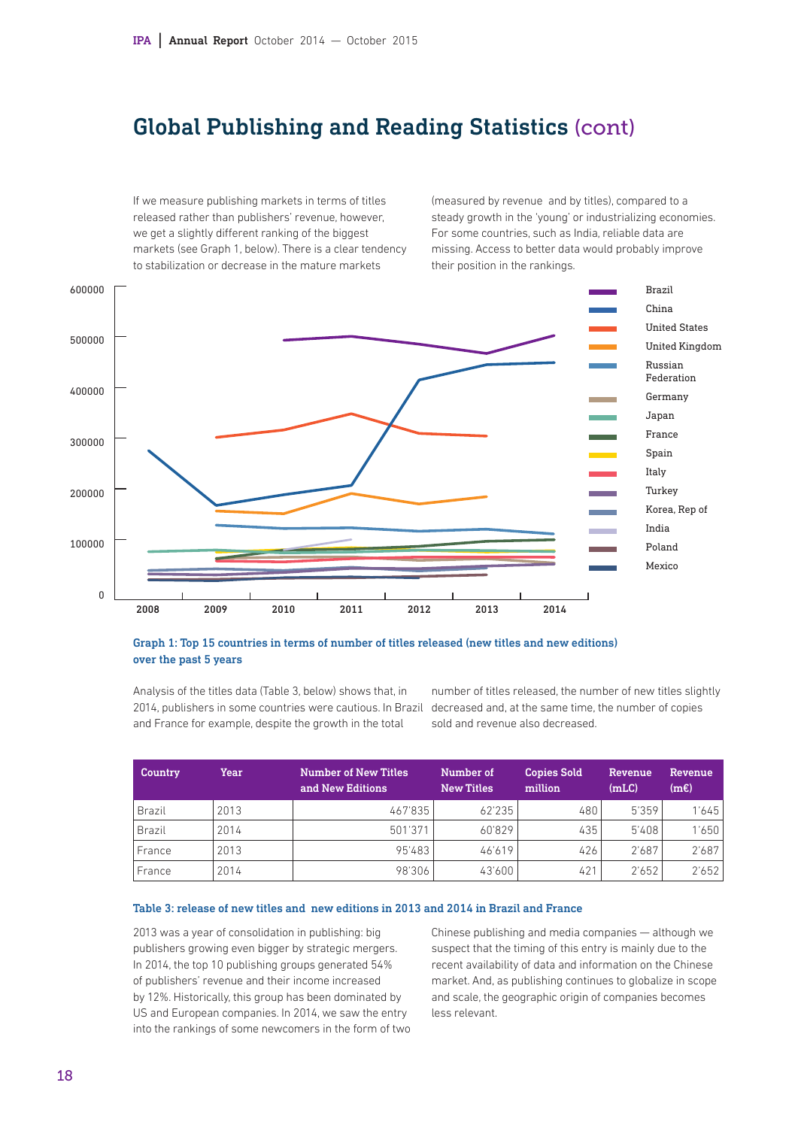# Global Publishing and Reading Statistics (cont)

If we measure publishing markets in terms of titles released rather than publishers' revenue, however, we get a slightly different ranking of the biggest markets (see Graph 1, below). There is a clear tendency to stabilization or decrease in the mature markets

(measured by revenue and by titles), compared to a steady growth in the 'young' or industrializing economies. For some countries, such as India, reliable data are missing. Access to better data would probably improve their position in the rankings.



#### Graph 1: Top 15 countries in terms of number of titles released (new titles and new editions) over the past 5 years

Analysis of the titles data (Table 3, below) shows that, in 2014, publishers in some countries were cautious. In Brazil decreased and, at the same time, the number of copies and France for example, despite the growth in the total

number of titles released, the number of new titles slightly sold and revenue also decreased.

| Country | Year | <b>Number of New Titles</b><br>and New Editions | Number of<br><b>New Titles</b> | <b>Copies Sold</b><br>million | Revenue<br>(mLC) | <b>Revenue</b><br>(mE) |
|---------|------|-------------------------------------------------|--------------------------------|-------------------------------|------------------|------------------------|
| Brazil  | 2013 | 467'835                                         | 62'235                         | 480                           | 5'359            | 1'645                  |
| Brazil  | 2014 | 501'371                                         | 60'829                         | 435                           | 5'408            | 1'650                  |
| France  | 2013 | 95'483                                          | 46'619                         | 426                           | 2'687            | 2'687                  |
| France  | 2014 | 98'306                                          | 43'600                         | 421                           | 2'652            | 2'652                  |

### Table 3: release of new titles and new editions in 2013 and 2014 in Brazil and France

2013 was a year of consolidation in publishing: big publishers growing even bigger by strategic mergers. In 2014, the top 10 publishing groups generated 54% of publishers' revenue and their income increased by 12%. Historically, this group has been dominated by US and European companies. In 2014, we saw the entry into the rankings of some newcomers in the form of two Chinese publishing and media companies — although we suspect that the timing of this entry is mainly due to the recent availability of data and information on the Chinese market. And, as publishing continues to globalize in scope and scale, the geographic origin of companies becomes less relevant.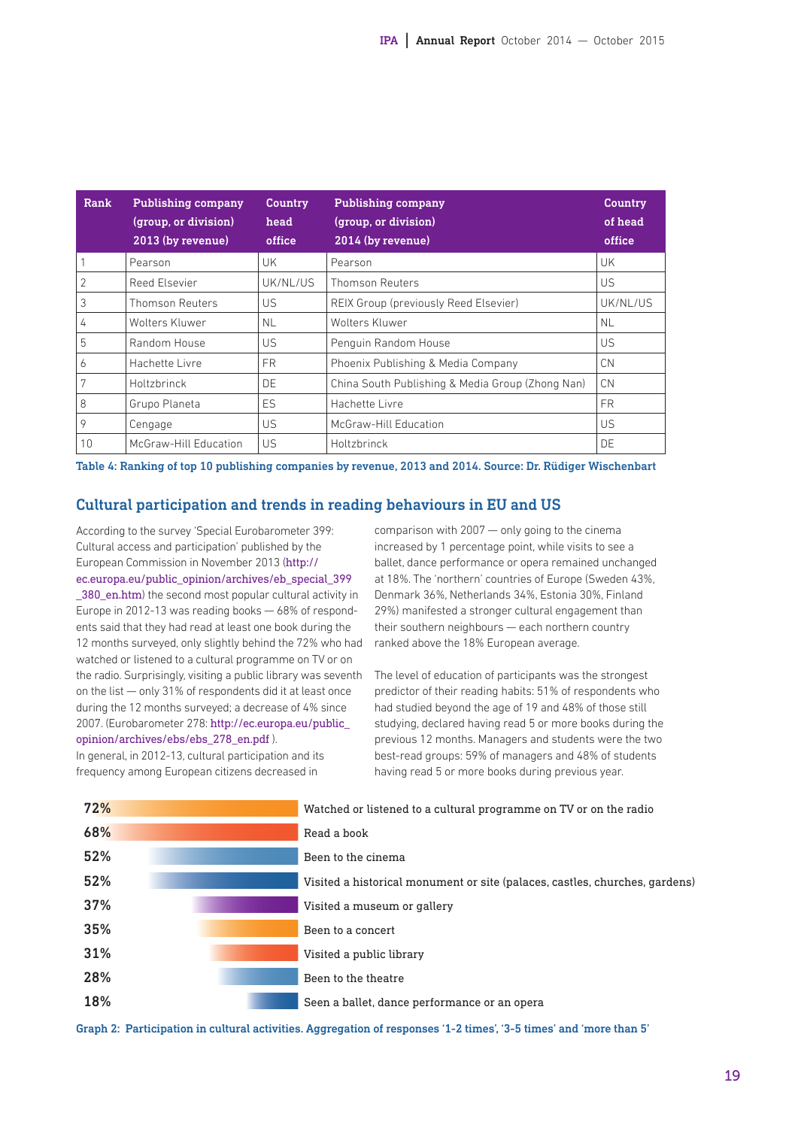| Rank           | <b>Publishing company</b><br>(group, or division)<br>2013 (by revenue) | <b>Country</b><br>head<br>office | Publishing company<br>(group, or division)<br>2014 (by revenue) | <b>Country</b><br>of head<br>office |
|----------------|------------------------------------------------------------------------|----------------------------------|-----------------------------------------------------------------|-------------------------------------|
|                | Pearson                                                                | UK                               | Pearson                                                         | UK                                  |
| $\overline{2}$ | Reed Elsevier                                                          | UK/NL/US                         | <b>Thomson Reuters</b>                                          | US                                  |
| 3              | <b>Thomson Reuters</b>                                                 | US                               | REIX Group (previously Reed Elsevier)                           | UK/NL/US                            |
| 4              | Wolters Kluwer                                                         | NL.                              | Wolters Kluwer                                                  | NL.                                 |
| 5              | Random House                                                           | US                               | Penguin Random House                                            | US                                  |
| 6              | Hachette Livre                                                         | FR.                              | Phoenix Publishing & Media Company                              | <b>CN</b>                           |
| 7              | Holtzbrinck                                                            | DE                               | China South Publishing & Media Group (Zhong Nan)                | <b>CN</b>                           |
| 8              | Grupo Planeta                                                          | ES                               | Hachette Livre                                                  | <b>FR</b>                           |
| 9              | Cengage                                                                | US                               | McGraw-Hill Education                                           | US                                  |
| 10             | McGraw-Hill Education                                                  | US                               | Holtzbrinck                                                     | DE                                  |

Table 4: Ranking of top 10 publishing companies by revenue, 2013 and 2014. Source: Dr. Rüdiger Wischenbart

#### Cultural participation and trends in reading behaviours in EU and US

According to the survey 'Special Eurobarometer 399: Cultural access and participation' published by the European Commission in November 2013 (http:// ec.europa.eu/public\_opinion/archives/eb\_special\_399 380 en.htm) the second most popular cultural activity in Europe in 2012-13 was reading books — 68% of respondents said that they had read at least one book during the 12 months surveyed, only slightly behind the 72% who had watched or listened to a cultural programme on TV or on the radio. Surprisingly, visiting a public library was seventh on the list — only 31% of respondents did it at least once during the 12 months surveyed; a decrease of 4% since 2007. (Eurobarometer 278: http://ec.europa.eu/public\_ opinion/archives/ebs/ebs\_278\_en.pdf ).

In general, in 2012-13, cultural participation and its frequency among European citizens decreased in

comparison with 2007 — only going to the cinema increased by 1 percentage point, while visits to see a ballet, dance performance or opera remained unchanged at 18%. The 'northern' countries of Europe (Sweden 43%, Denmark 36%, Netherlands 34%, Estonia 30%, Finland 29%) manifested a stronger cultural engagement than their southern neighbours — each northern country ranked above the 18% European average.

The level of education of participants was the strongest predictor of their reading habits: 51% of respondents who had studied beyond the age of 19 and 48% of those still studying, declared having read 5 or more books during the previous 12 months. Managers and students were the two best-read groups: 59% of managers and 48% of students having read 5 or more books during previous year.

| 72% | Watched or listened to a cultural programme on TV or on the radio           |
|-----|-----------------------------------------------------------------------------|
| 68% | Read a book                                                                 |
| 52% | Been to the cinema                                                          |
| 52% | Visited a historical monument or site (palaces, castles, churches, gardens) |
| 37% | Visited a museum or gallery                                                 |
| 35% | Been to a concert                                                           |
| 31% | Visited a public library                                                    |
| 28% | Been to the theatre                                                         |
| 18% | Seen a ballet, dance performance or an opera                                |
|     |                                                                             |

Graph 2: Participation in cultural activities. Aggregation of responses '1-2 times', '3-5 times' and 'more than 5'